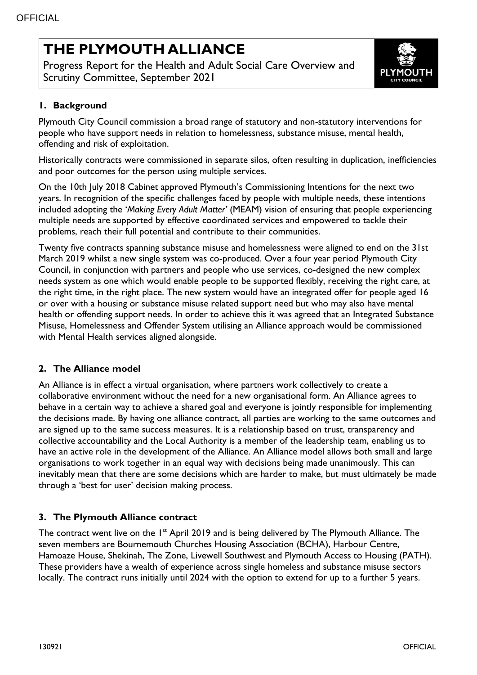# **THE PLYMOUTH ALLIANCE**

Progress Report for the Health and Adult Social Care Overview and Scrutiny Committee, September 2021



# **1. Background**

Plymouth City Council commission a broad range of statutory and non-statutory interventions for people who have support needs in relation to homelessness, substance misuse, mental health, offending and risk of exploitation.

Historically contracts were commissioned in separate silos, often resulting in duplication, inefficiencies and poor outcomes for the person using multiple services.

On the 10th July 2018 Cabinet approved Plymouth's Commissioning Intentions for the next two years. In recognition of the specific challenges faced by people with multiple needs, these intentions included adopting the '*Making Every Adult Matter'* (MEAM) vision of ensuring that people experiencing multiple needs are supported by effective coordinated services and empowered to tackle their problems, reach their full potential and contribute to their communities.

Twenty five contracts spanning substance misuse and homelessness were aligned to end on the 31st March 2019 whilst a new single system was co-produced. Over a four year period Plymouth City Council, in conjunction with partners and people who use services, co-designed the new complex needs system as one which would enable people to be supported flexibly, receiving the right care, at the right time, in the right place. The new system would have an integrated offer for people aged 16 or over with a housing or substance misuse related support need but who may also have mental health or offending support needs. In order to achieve this it was agreed that an Integrated Substance Misuse, Homelessness and Offender System utilising an Alliance approach would be commissioned with Mental Health services aligned alongside.

#### **2. The Alliance model**

An Alliance is in effect a virtual organisation, where partners work collectively to create a collaborative environment without the need for a new organisational form. An Alliance agrees to behave in a certain way to achieve a shared goal and everyone is jointly responsible for implementing the decisions made. By having one alliance contract, all parties are working to the same outcomes and are signed up to the same success measures. It is a relationship based on trust, transparency and collective accountability and the Local Authority is a member of the leadership team, enabling us to have an active role in the development of the Alliance. An Alliance model allows both small and large organisations to work together in an equal way with decisions being made unanimously. This can inevitably mean that there are some decisions which are harder to make, but must ultimately be made through a 'best for user' decision making process.

#### **3. The Plymouth Alliance contract**

The contract went live on the 1<sup>st</sup> April 2019 and is being delivered by The Plymouth Alliance. The seven members are Bournemouth Churches Housing Association (BCHA), Harbour Centre, Hamoaze House, Shekinah, The Zone, Livewell Southwest and Plymouth Access to Housing (PATH). These providers have a wealth of experience across single homeless and substance misuse sectors locally. The contract runs initially until 2024 with the option to extend for up to a further 5 years.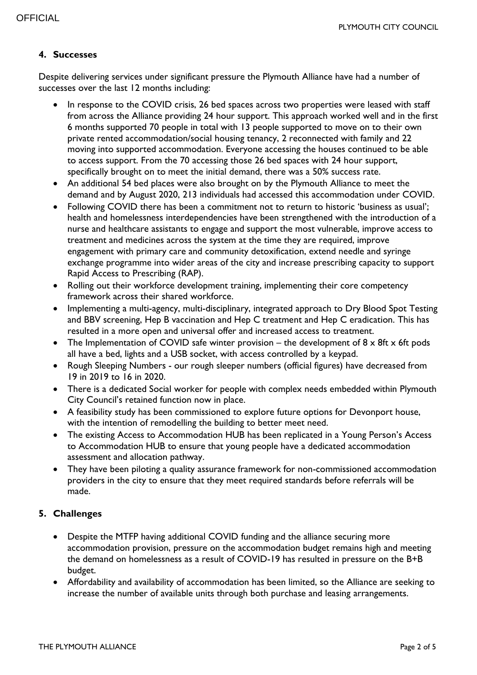#### **4. Successes**

Despite delivering services under significant pressure the Plymouth Alliance have had a number of successes over the last 12 months including:

- In response to the COVID crisis, 26 bed spaces across two properties were leased with staff from across the Alliance providing 24 hour support. This approach worked well and in the first 6 months supported 70 people in total with 13 people supported to move on to their own private rented accommodation/social housing tenancy, 2 reconnected with family and 22 moving into supported accommodation. Everyone accessing the houses continued to be able to access support. From the 70 accessing those 26 bed spaces with 24 hour support, specifically brought on to meet the initial demand, there was a 50% success rate.
- An additional 54 bed places were also brought on by the Plymouth Alliance to meet the demand and by August 2020, 213 individuals had accessed this accommodation under COVID.
- Following COVID there has been a commitment not to return to historic 'business as usual'; health and homelessness interdependencies have been strengthened with the introduction of a nurse and healthcare assistants to engage and support the most vulnerable, improve access to treatment and medicines across the system at the time they are required, improve engagement with primary care and community detoxification, extend needle and syringe exchange programme into wider areas of the city and increase prescribing capacity to support Rapid Access to Prescribing (RAP).
- Rolling out their workforce development training, implementing their core competency framework across their shared workforce.
- Implementing a multi-agency, multi-disciplinary, integrated approach to Dry Blood Spot Testing and BBV screening, Hep B vaccination and Hep C treatment and Hep C eradication. This has resulted in a more open and universal offer and increased access to treatment.
- The Implementation of COVID safe winter provision the development of  $8 \times 8$ ft x 6ft pods all have a bed, lights and a USB socket, with access controlled by a keypad.
- Rough Sleeping Numbers our rough sleeper numbers (official figures) have decreased from 19 in 2019 to 16 in 2020.
- There is a dedicated Social worker for people with complex needs embedded within Plymouth City Council's retained function now in place.
- A feasibility study has been commissioned to explore future options for Devonport house, with the intention of remodelling the building to better meet need.
- The existing Access to Accommodation HUB has been replicated in a Young Person's Access to Accommodation HUB to ensure that young people have a dedicated accommodation assessment and allocation pathway.
- They have been piloting a quality assurance framework for non-commissioned accommodation providers in the city to ensure that they meet required standards before referrals will be made.

# **5. Challenges**

- Despite the MTFP having additional COVID funding and the alliance securing more accommodation provision, pressure on the accommodation budget remains high and meeting the demand on homelessness as a result of COVID-19 has resulted in pressure on the B+B budget.
- Affordability and availability of accommodation has been limited, so the Alliance are seeking to increase the number of available units through both purchase and leasing arrangements.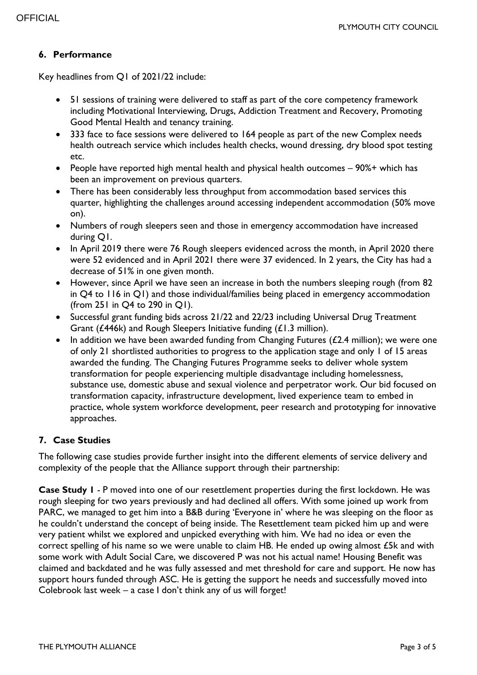### **6. Performance**

Key headlines from Q1 of 2021/22 include:

- 51 sessions of training were delivered to staff as part of the core competency framework including Motivational Interviewing, Drugs, Addiction Treatment and Recovery, Promoting Good Mental Health and tenancy training.
- 333 face to face sessions were delivered to 164 people as part of the new Complex needs health outreach service which includes health checks, wound dressing, dry blood spot testing etc.
- People have reported high mental health and physical health outcomes 90%+ which has been an improvement on previous quarters.
- There has been considerably less throughput from accommodation based services this quarter, highlighting the challenges around accessing independent accommodation (50% move on).
- Numbers of rough sleepers seen and those in emergency accommodation have increased during Q1.
- In April 2019 there were 76 Rough sleepers evidenced across the month, in April 2020 there were 52 evidenced and in April 2021 there were 37 evidenced. In 2 years, the City has had a decrease of 51% in one given month.
- However, since April we have seen an increase in both the numbers sleeping rough (from 82 in Q4 to 116 in Q1) and those individual/families being placed in emergency accommodation (from 251 in Q4 to 290 in Q1).
- Successful grant funding bids across 21/22 and 22/23 including Universal Drug Treatment Grant (£446k) and Rough Sleepers Initiative funding (£1.3 million).
- In addition we have been awarded funding from Changing Futures ( $£2.4$  million); we were one of only 21 shortlisted authorities to progress to the application stage and only 1 of 15 areas awarded the funding. The Changing Futures Programme seeks to deliver whole system transformation for people experiencing multiple disadvantage including homelessness, substance use, domestic abuse and sexual violence and perpetrator work. Our bid focused on transformation capacity, infrastructure development, lived experience team to embed in practice, whole system workforce development, peer research and prototyping for innovative approaches.

# **7. Case Studies**

The following case studies provide further insight into the different elements of service delivery and complexity of the people that the Alliance support through their partnership:

**Case Study 1** - P moved into one of our resettlement properties during the first lockdown. He was rough sleeping for two years previously and had declined all offers. With some joined up work from PARC, we managed to get him into a B&B during 'Everyone in' where he was sleeping on the floor as he couldn't understand the concept of being inside. The Resettlement team picked him up and were very patient whilst we explored and unpicked everything with him. We had no idea or even the correct spelling of his name so we were unable to claim HB. He ended up owing almost £5k and with some work with Adult Social Care, we discovered P was not his actual name! Housing Benefit was claimed and backdated and he was fully assessed and met threshold for care and support. He now has support hours funded through ASC. He is getting the support he needs and successfully moved into Colebrook last week – a case I don't think any of us will forget!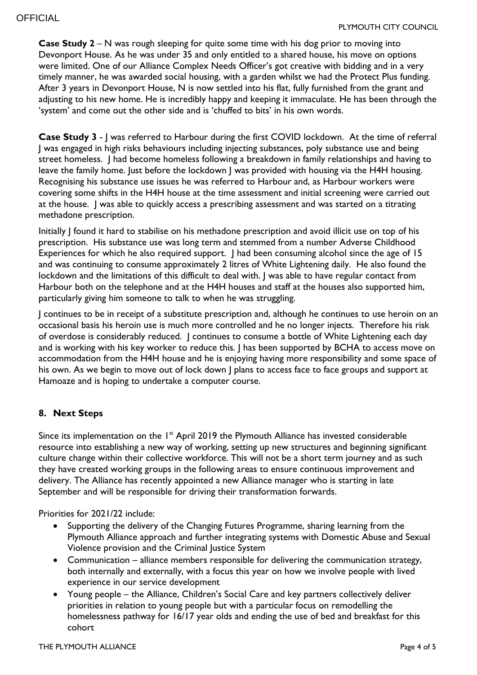**Case Study 2** – N was rough sleeping for quite some time with his dog prior to moving into Devonport House. As he was under 35 and only entitled to a shared house, his move on options were limited. One of our Alliance Complex Needs Officer's got creative with bidding and in a very timely manner, he was awarded social housing, with a garden whilst we had the Protect Plus funding. After 3 years in Devonport House, N is now settled into his flat, fully furnished from the grant and adjusting to his new home. He is incredibly happy and keeping it immaculate. He has been through the 'system' and come out the other side and is 'chuffed to bits' in his own words.

**Case Study 3** - J was referred to Harbour during the first COVID lockdown. At the time of referral J was engaged in high risks behaviours including injecting substances, poly substance use and being street homeless. J had become homeless following a breakdown in family relationships and having to leave the family home. Just before the lockdown J was provided with housing via the H4H housing. Recognising his substance use issues he was referred to Harbour and, as Harbour workers were covering some shifts in the H4H house at the time assessment and initial screening were carried out at the house. J was able to quickly access a prescribing assessment and was started on a titrating methadone prescription.

Initially J found it hard to stabilise on his methadone prescription and avoid illicit use on top of his prescription. His substance use was long term and stemmed from a number Adverse Childhood Experiences for which he also required support. J had been consuming alcohol since the age of 15 and was continuing to consume approximately 2 litres of White Lightening daily. He also found the lockdown and the limitations of this difficult to deal with. J was able to have regular contact from Harbour both on the telephone and at the H4H houses and staff at the houses also supported him, particularly giving him someone to talk to when he was struggling.

J continues to be in receipt of a substitute prescription and, although he continues to use heroin on an occasional basis his heroin use is much more controlled and he no longer injects. Therefore his risk of overdose is considerably reduced. J continues to consume a bottle of White Lightening each day and is working with his key worker to reduce this. I has been supported by BCHA to access move on accommodation from the H4H house and he is enjoying having more responsibility and some space of his own. As we begin to move out of lock down J plans to access face to face groups and support at Hamoaze and is hoping to undertake a computer course.

# **8. Next Steps**

Since its implementation on the 1<sup>st</sup> April 2019 the Plymouth Alliance has invested considerable resource into establishing a new way of working, setting up new structures and beginning significant culture change within their collective workforce. This will not be a short term journey and as such they have created working groups in the following areas to ensure continuous improvement and delivery. The Alliance has recently appointed a new Alliance manager who is starting in late September and will be responsible for driving their transformation forwards.

Priorities for 2021/22 include:

- Supporting the delivery of the Changing Futures Programme, sharing learning from the Plymouth Alliance approach and further integrating systems with Domestic Abuse and Sexual Violence provision and the Criminal Justice System
- Communication alliance members responsible for delivering the communication strategy, both internally and externally, with a focus this year on how we involve people with lived experience in our service development
- Young people the Alliance, Children's Social Care and key partners collectively deliver priorities in relation to young people but with a particular focus on remodelling the homelessness pathway for 16/17 year olds and ending the use of bed and breakfast for this cohort